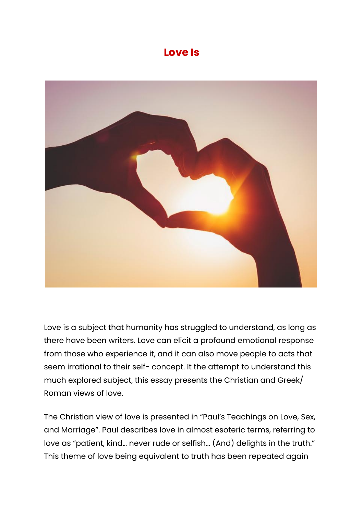## **Love Is**



Love is a subject that humanity has struggled to understand, as long as there have been writers. Love can elicit a profound emotional response from those who experience it, and it can also move people to acts that seem irrational to their self- concept. It the attempt to understand this much explored subject, this essay presents the Christian and Greek/ Roman views of love.

The Christian view of love is presented in "Paul's Teachings on Love, Sex, and Marriage". Paul describes love in almost esoteric terms, referring to love as "patient, kind… never rude or selfish… (And) delights in the truth." This theme of love being equivalent to truth has been repeated again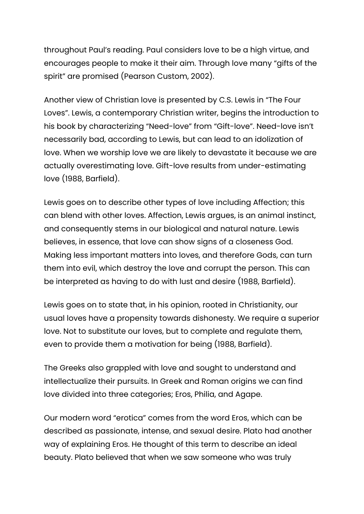throughout Paul's reading. Paul considers love to be a high virtue, and encourages people to make it their aim. Through love many "gifts of the spirit" are promised (Pearson Custom, 2002).

Another view of Christian love is presented by C.S. Lewis in "The Four Loves". Lewis, a contemporary Christian writer, begins the introduction to his book by characterizing "Need-love" from "Gift-love". Need-love isn't necessarily bad, according to Lewis, but can lead to an idolization of love. When we worship love we are likely to devastate it because we are actually overestimating love. Gift-love results from under-estimating love (1988, Barfield).

Lewis goes on to describe other types of love including Affection; this can blend with other loves. Affection, Lewis argues, is an animal instinct, and consequently stems in our biological and natural nature. Lewis believes, in essence, that love can show signs of a closeness God. Making less important matters into loves, and therefore Gods, can turn them into evil, which destroy the love and corrupt the person. This can be interpreted as having to do with lust and desire (1988, Barfield).

Lewis goes on to state that, in his opinion, rooted in Christianity, our usual loves have a propensity towards dishonesty. We require a superior love. Not to substitute our loves, but to complete and regulate them, even to provide them a motivation for being (1988, Barfield).

The Greeks also grappled with love and sought to understand and intellectualize their pursuits. In Greek and Roman origins we can find love divided into three categories; Eros, Philia, and Agape.

Our modern word "erotica" comes from the word Eros, which can be described as passionate, intense, and sexual desire. Plato had another way of explaining Eros. He thought of this term to describe an ideal beauty. Plato believed that when we saw someone who was truly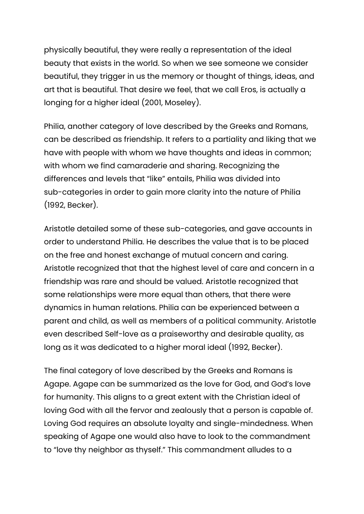physically beautiful, they were really a representation of the ideal beauty that exists in the world. So when we see someone we consider beautiful, they trigger in us the memory or thought of things, ideas, and art that is beautiful. That desire we feel, that we call Eros, is actually a longing for a higher ideal (2001, Moseley).

Philia, another category of love described by the Greeks and Romans, can be described as friendship. It refers to a partiality and liking that we have with people with whom we have thoughts and ideas in common; with whom we find camaraderie and sharing. Recognizing the differences and levels that "like" entails, Philia was divided into sub-categories in order to gain more clarity into the nature of Philia (1992, Becker).

Aristotle detailed some of these sub-categories, and gave accounts in order to understand Philia. He describes the value that is to be placed on the free and honest exchange of mutual concern and caring. Aristotle recognized that that the highest level of care and concern in a friendship was rare and should be valued. Aristotle recognized that some relationships were more equal than others, that there were dynamics in human relations. Philia can be experienced between a parent and child, as well as members of a political community. Aristotle even described Self-love as a praiseworthy and desirable quality, as long as it was dedicated to a higher moral ideal (1992, Becker).

The final category of love described by the Greeks and Romans is Agape. Agape can be summarized as the love for God, and God's love for humanity. This aligns to a great extent with the Christian ideal of loving God with all the fervor and zealously that a person is capable of. Loving God requires an absolute loyalty and single-mindedness. When speaking of Agape one would also have to look to the commandment to "love thy neighbor as thyself." This commandment alludes to a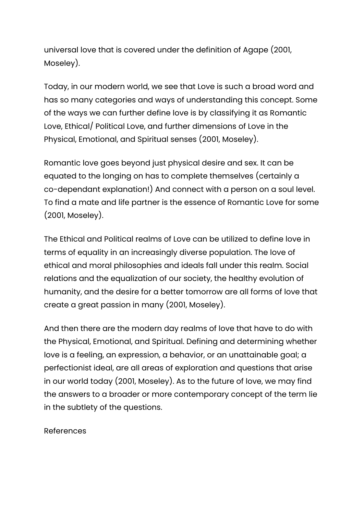universal love that is covered under the definition of Agape (2001, Moseley).

Today, in our modern world, we see that Love is such a broad word and has so many categories and ways of understanding this concept. Some of the ways we can further define love is by classifying it as Romantic Love, Ethical/ Political Love, and further dimensions of Love in the Physical, Emotional, and Spiritual senses (2001, Moseley).

Romantic love goes beyond just physical desire and sex. It can be equated to the longing on has to complete themselves (certainly a co-dependant explanation!) And connect with a person on a soul level. To find a mate and life partner is the essence of Romantic Love for some (2001, Moseley).

The Ethical and Political realms of Love can be utilized to define love in terms of equality in an increasingly diverse population. The love of ethical and moral philosophies and ideals fall under this realm. Social relations and the equalization of our society, the healthy evolution of humanity, and the desire for a better tomorrow are all forms of love that create a great passion in many (2001, Moseley).

And then there are the modern day realms of love that have to do with the Physical, Emotional, and Spiritual. Defining and determining whether love is a feeling, an expression, a behavior, or an unattainable goal; a perfectionist ideal, are all areas of exploration and questions that arise in our world today (2001, Moseley). As to the future of love, we may find the answers to a broader or more contemporary concept of the term lie in the subtlety of the questions.

## References